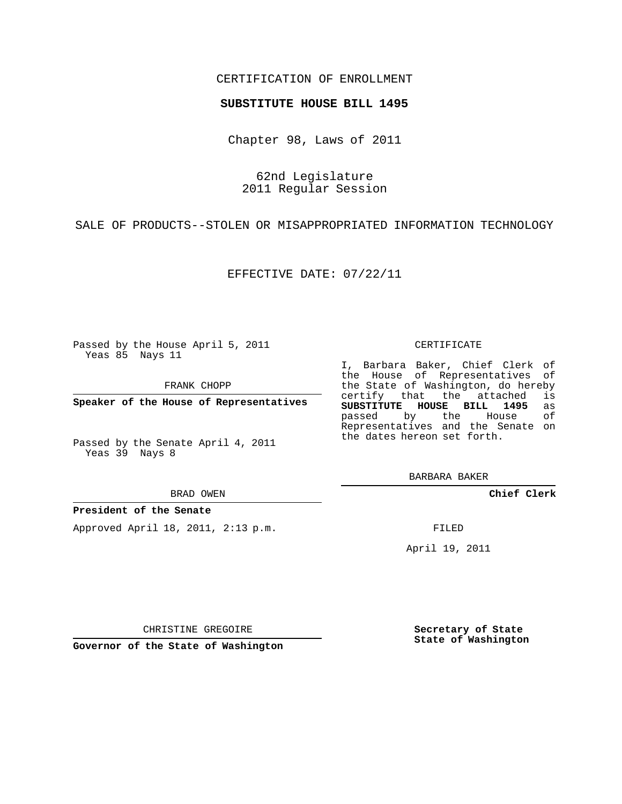## CERTIFICATION OF ENROLLMENT

### **SUBSTITUTE HOUSE BILL 1495**

Chapter 98, Laws of 2011

62nd Legislature 2011 Regular Session

SALE OF PRODUCTS--STOLEN OR MISAPPROPRIATED INFORMATION TECHNOLOGY

EFFECTIVE DATE: 07/22/11

Passed by the House April 5, 2011 Yeas 85 Nays 11

FRANK CHOPP

**Speaker of the House of Representatives**

Passed by the Senate April 4, 2011 Yeas 39 Nays 8

BRAD OWEN

### **President of the Senate**

Approved April 18, 2011, 2:13 p.m.

#### CERTIFICATE

I, Barbara Baker, Chief Clerk of the House of Representatives of the State of Washington, do hereby<br>certify that the attached is certify that the attached **SUBSTITUTE HOUSE BILL 1495** as passed by the House Representatives and the Senate on the dates hereon set forth.

BARBARA BAKER

**Chief Clerk**

FILED

April 19, 2011

CHRISTINE GREGOIRE

**Governor of the State of Washington**

**Secretary of State State of Washington**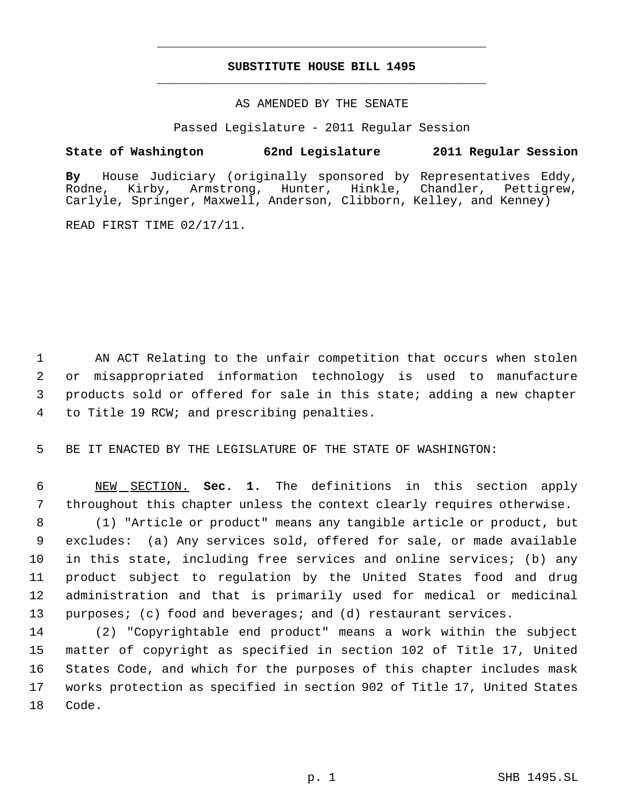# **SUBSTITUTE HOUSE BILL 1495** \_\_\_\_\_\_\_\_\_\_\_\_\_\_\_\_\_\_\_\_\_\_\_\_\_\_\_\_\_\_\_\_\_\_\_\_\_\_\_\_\_\_\_\_\_

\_\_\_\_\_\_\_\_\_\_\_\_\_\_\_\_\_\_\_\_\_\_\_\_\_\_\_\_\_\_\_\_\_\_\_\_\_\_\_\_\_\_\_\_\_

### AS AMENDED BY THE SENATE

Passed Legislature - 2011 Regular Session

# **State of Washington 62nd Legislature 2011 Regular Session**

**By** House Judiciary (originally sponsored by Representatives Eddy, Rodne, Kirby, Armstrong, Hunter, Hinkle, Chandler, Carlyle, Springer, Maxwell, Anderson, Clibborn, Kelley, and Kenney)

READ FIRST TIME 02/17/11.

 AN ACT Relating to the unfair competition that occurs when stolen or misappropriated information technology is used to manufacture products sold or offered for sale in this state; adding a new chapter to Title 19 RCW; and prescribing penalties.

5 BE IT ENACTED BY THE LEGISLATURE OF THE STATE OF WASHINGTON:

 6 NEW SECTION. **Sec. 1.** The definitions in this section apply 7 throughout this chapter unless the context clearly requires otherwise.

 (1) "Article or product" means any tangible article or product, but excludes: (a) Any services sold, offered for sale, or made available in this state, including free services and online services; (b) any product subject to regulation by the United States food and drug administration and that is primarily used for medical or medicinal 13 purposes; (c) food and beverages; and (d) restaurant services.

 (2) "Copyrightable end product" means a work within the subject matter of copyright as specified in section 102 of Title 17, United States Code, and which for the purposes of this chapter includes mask works protection as specified in section 902 of Title 17, United States 18 Code.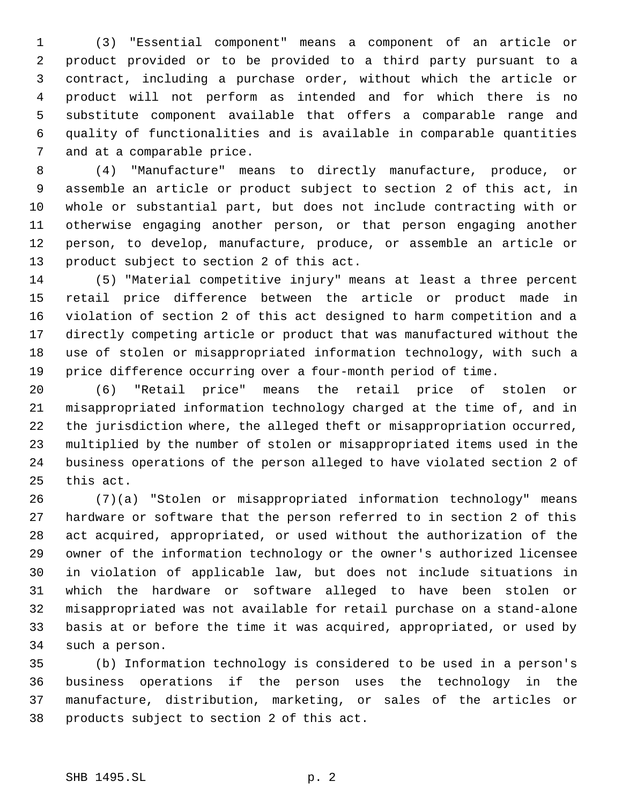(3) "Essential component" means a component of an article or product provided or to be provided to a third party pursuant to a contract, including a purchase order, without which the article or product will not perform as intended and for which there is no substitute component available that offers a comparable range and quality of functionalities and is available in comparable quantities and at a comparable price.

 (4) "Manufacture" means to directly manufacture, produce, or assemble an article or product subject to section 2 of this act, in whole or substantial part, but does not include contracting with or otherwise engaging another person, or that person engaging another person, to develop, manufacture, produce, or assemble an article or product subject to section 2 of this act.

 (5) "Material competitive injury" means at least a three percent retail price difference between the article or product made in violation of section 2 of this act designed to harm competition and a directly competing article or product that was manufactured without the use of stolen or misappropriated information technology, with such a price difference occurring over a four-month period of time.

 (6) "Retail price" means the retail price of stolen or misappropriated information technology charged at the time of, and in the jurisdiction where, the alleged theft or misappropriation occurred, multiplied by the number of stolen or misappropriated items used in the business operations of the person alleged to have violated section 2 of this act.

 (7)(a) "Stolen or misappropriated information technology" means hardware or software that the person referred to in section 2 of this act acquired, appropriated, or used without the authorization of the owner of the information technology or the owner's authorized licensee in violation of applicable law, but does not include situations in which the hardware or software alleged to have been stolen or misappropriated was not available for retail purchase on a stand-alone basis at or before the time it was acquired, appropriated, or used by such a person.

 (b) Information technology is considered to be used in a person's business operations if the person uses the technology in the manufacture, distribution, marketing, or sales of the articles or products subject to section 2 of this act.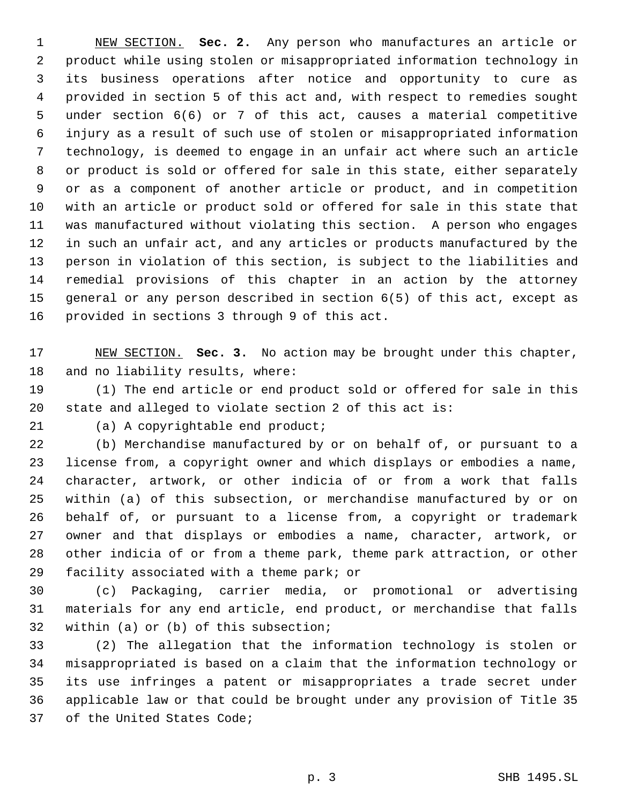NEW SECTION. **Sec. 2.** Any person who manufactures an article or product while using stolen or misappropriated information technology in its business operations after notice and opportunity to cure as provided in section 5 of this act and, with respect to remedies sought under section 6(6) or 7 of this act, causes a material competitive injury as a result of such use of stolen or misappropriated information technology, is deemed to engage in an unfair act where such an article or product is sold or offered for sale in this state, either separately or as a component of another article or product, and in competition with an article or product sold or offered for sale in this state that was manufactured without violating this section. A person who engages in such an unfair act, and any articles or products manufactured by the person in violation of this section, is subject to the liabilities and remedial provisions of this chapter in an action by the attorney general or any person described in section 6(5) of this act, except as provided in sections 3 through 9 of this act.

 NEW SECTION. **Sec. 3.** No action may be brought under this chapter, and no liability results, where:

 (1) The end article or end product sold or offered for sale in this state and alleged to violate section 2 of this act is:

(a) A copyrightable end product;

 (b) Merchandise manufactured by or on behalf of, or pursuant to a license from, a copyright owner and which displays or embodies a name, character, artwork, or other indicia of or from a work that falls within (a) of this subsection, or merchandise manufactured by or on behalf of, or pursuant to a license from, a copyright or trademark owner and that displays or embodies a name, character, artwork, or other indicia of or from a theme park, theme park attraction, or other facility associated with a theme park; or

 (c) Packaging, carrier media, or promotional or advertising materials for any end article, end product, or merchandise that falls within (a) or (b) of this subsection;

 (2) The allegation that the information technology is stolen or misappropriated is based on a claim that the information technology or its use infringes a patent or misappropriates a trade secret under applicable law or that could be brought under any provision of Title 35 of the United States Code;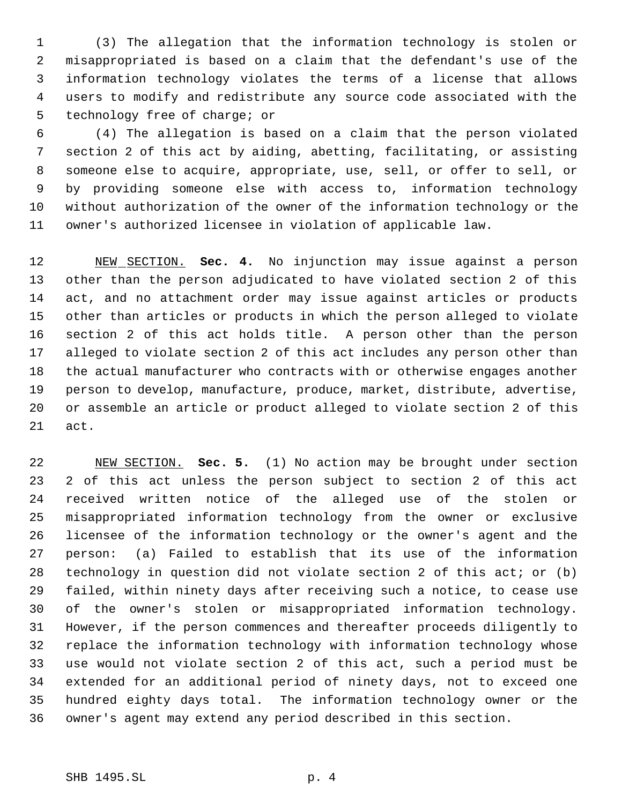(3) The allegation that the information technology is stolen or misappropriated is based on a claim that the defendant's use of the information technology violates the terms of a license that allows users to modify and redistribute any source code associated with the technology free of charge; or

 (4) The allegation is based on a claim that the person violated section 2 of this act by aiding, abetting, facilitating, or assisting someone else to acquire, appropriate, use, sell, or offer to sell, or by providing someone else with access to, information technology without authorization of the owner of the information technology or the owner's authorized licensee in violation of applicable law.

 NEW SECTION. **Sec. 4.** No injunction may issue against a person other than the person adjudicated to have violated section 2 of this act, and no attachment order may issue against articles or products other than articles or products in which the person alleged to violate section 2 of this act holds title. A person other than the person alleged to violate section 2 of this act includes any person other than the actual manufacturer who contracts with or otherwise engages another person to develop, manufacture, produce, market, distribute, advertise, or assemble an article or product alleged to violate section 2 of this act.

 NEW SECTION. **Sec. 5.** (1) No action may be brought under section 2 of this act unless the person subject to section 2 of this act received written notice of the alleged use of the stolen or misappropriated information technology from the owner or exclusive licensee of the information technology or the owner's agent and the person: (a) Failed to establish that its use of the information technology in question did not violate section 2 of this act; or (b) failed, within ninety days after receiving such a notice, to cease use of the owner's stolen or misappropriated information technology. However, if the person commences and thereafter proceeds diligently to replace the information technology with information technology whose use would not violate section 2 of this act, such a period must be extended for an additional period of ninety days, not to exceed one hundred eighty days total. The information technology owner or the owner's agent may extend any period described in this section.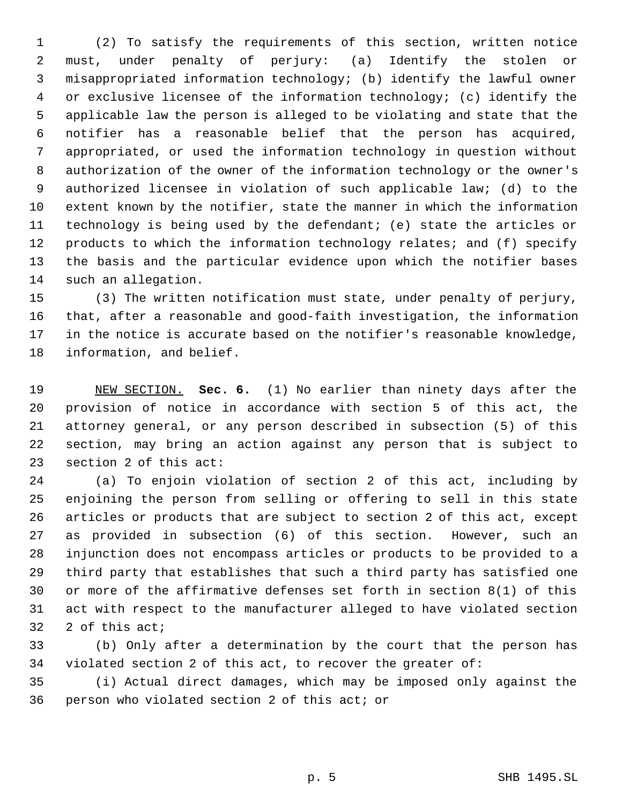(2) To satisfy the requirements of this section, written notice must, under penalty of perjury: (a) Identify the stolen or misappropriated information technology; (b) identify the lawful owner or exclusive licensee of the information technology; (c) identify the applicable law the person is alleged to be violating and state that the notifier has a reasonable belief that the person has acquired, appropriated, or used the information technology in question without authorization of the owner of the information technology or the owner's authorized licensee in violation of such applicable law; (d) to the extent known by the notifier, state the manner in which the information technology is being used by the defendant; (e) state the articles or 12 products to which the information technology relates; and (f) specify the basis and the particular evidence upon which the notifier bases such an allegation.

 (3) The written notification must state, under penalty of perjury, that, after a reasonable and good-faith investigation, the information in the notice is accurate based on the notifier's reasonable knowledge, information, and belief.

 NEW SECTION. **Sec. 6.** (1) No earlier than ninety days after the provision of notice in accordance with section 5 of this act, the attorney general, or any person described in subsection (5) of this section, may bring an action against any person that is subject to section 2 of this act:

 (a) To enjoin violation of section 2 of this act, including by enjoining the person from selling or offering to sell in this state articles or products that are subject to section 2 of this act, except as provided in subsection (6) of this section. However, such an injunction does not encompass articles or products to be provided to a third party that establishes that such a third party has satisfied one or more of the affirmative defenses set forth in section 8(1) of this act with respect to the manufacturer alleged to have violated section 2 of this act;

 (b) Only after a determination by the court that the person has violated section 2 of this act, to recover the greater of:

 (i) Actual direct damages, which may be imposed only against the person who violated section 2 of this act; or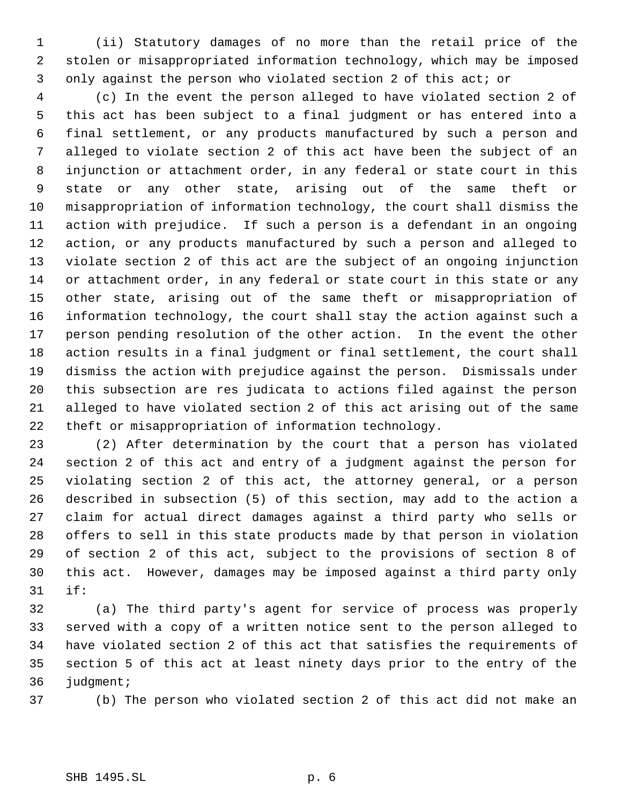(ii) Statutory damages of no more than the retail price of the stolen or misappropriated information technology, which may be imposed only against the person who violated section 2 of this act; or

 (c) In the event the person alleged to have violated section 2 of this act has been subject to a final judgment or has entered into a final settlement, or any products manufactured by such a person and alleged to violate section 2 of this act have been the subject of an injunction or attachment order, in any federal or state court in this state or any other state, arising out of the same theft or misappropriation of information technology, the court shall dismiss the action with prejudice. If such a person is a defendant in an ongoing action, or any products manufactured by such a person and alleged to violate section 2 of this act are the subject of an ongoing injunction or attachment order, in any federal or state court in this state or any other state, arising out of the same theft or misappropriation of information technology, the court shall stay the action against such a person pending resolution of the other action. In the event the other action results in a final judgment or final settlement, the court shall dismiss the action with prejudice against the person. Dismissals under this subsection are res judicata to actions filed against the person alleged to have violated section 2 of this act arising out of the same theft or misappropriation of information technology.

 (2) After determination by the court that a person has violated section 2 of this act and entry of a judgment against the person for violating section 2 of this act, the attorney general, or a person described in subsection (5) of this section, may add to the action a claim for actual direct damages against a third party who sells or offers to sell in this state products made by that person in violation of section 2 of this act, subject to the provisions of section 8 of this act. However, damages may be imposed against a third party only if:

 (a) The third party's agent for service of process was properly served with a copy of a written notice sent to the person alleged to have violated section 2 of this act that satisfies the requirements of section 5 of this act at least ninety days prior to the entry of the judgment;

(b) The person who violated section 2 of this act did not make an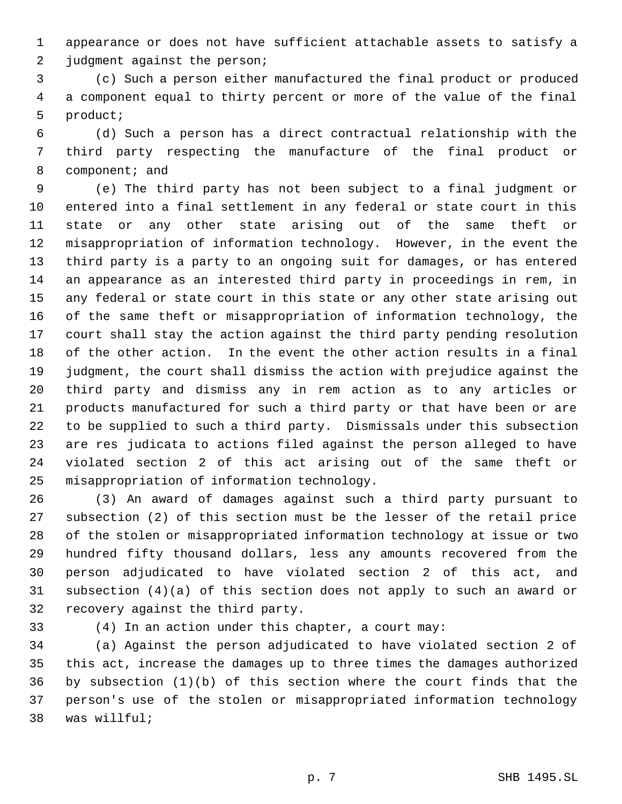appearance or does not have sufficient attachable assets to satisfy a 2 judgment against the person;

 (c) Such a person either manufactured the final product or produced a component equal to thirty percent or more of the value of the final product;

 (d) Such a person has a direct contractual relationship with the third party respecting the manufacture of the final product or component; and

 (e) The third party has not been subject to a final judgment or entered into a final settlement in any federal or state court in this state or any other state arising out of the same theft or misappropriation of information technology. However, in the event the third party is a party to an ongoing suit for damages, or has entered an appearance as an interested third party in proceedings in rem, in any federal or state court in this state or any other state arising out of the same theft or misappropriation of information technology, the court shall stay the action against the third party pending resolution of the other action. In the event the other action results in a final judgment, the court shall dismiss the action with prejudice against the third party and dismiss any in rem action as to any articles or products manufactured for such a third party or that have been or are to be supplied to such a third party. Dismissals under this subsection are res judicata to actions filed against the person alleged to have violated section 2 of this act arising out of the same theft or misappropriation of information technology.

 (3) An award of damages against such a third party pursuant to subsection (2) of this section must be the lesser of the retail price of the stolen or misappropriated information technology at issue or two hundred fifty thousand dollars, less any amounts recovered from the person adjudicated to have violated section 2 of this act, and subsection (4)(a) of this section does not apply to such an award or recovery against the third party.

(4) In an action under this chapter, a court may:

 (a) Against the person adjudicated to have violated section 2 of this act, increase the damages up to three times the damages authorized by subsection (1)(b) of this section where the court finds that the person's use of the stolen or misappropriated information technology was willful;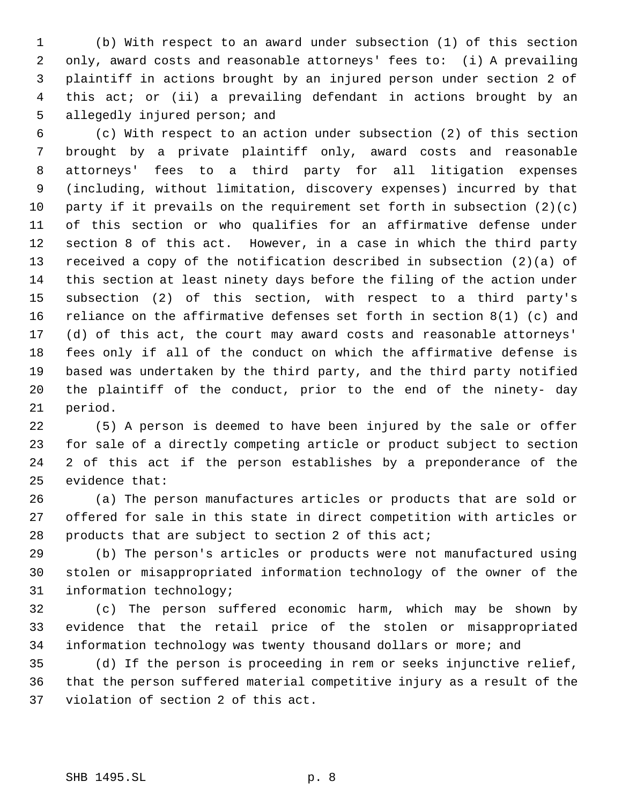(b) With respect to an award under subsection (1) of this section only, award costs and reasonable attorneys' fees to: (i) A prevailing plaintiff in actions brought by an injured person under section 2 of this act; or (ii) a prevailing defendant in actions brought by an allegedly injured person; and

 (c) With respect to an action under subsection (2) of this section brought by a private plaintiff only, award costs and reasonable attorneys' fees to a third party for all litigation expenses (including, without limitation, discovery expenses) incurred by that 10 party if it prevails on the requirement set forth in subsection  $(2)(c)$  of this section or who qualifies for an affirmative defense under section 8 of this act. However, in a case in which the third party received a copy of the notification described in subsection (2)(a) of this section at least ninety days before the filing of the action under subsection (2) of this section, with respect to a third party's reliance on the affirmative defenses set forth in section 8(1) (c) and (d) of this act, the court may award costs and reasonable attorneys' fees only if all of the conduct on which the affirmative defense is based was undertaken by the third party, and the third party notified the plaintiff of the conduct, prior to the end of the ninety- day period.

 (5) A person is deemed to have been injured by the sale or offer for sale of a directly competing article or product subject to section 2 of this act if the person establishes by a preponderance of the evidence that:

 (a) The person manufactures articles or products that are sold or offered for sale in this state in direct competition with articles or products that are subject to section 2 of this act;

 (b) The person's articles or products were not manufactured using stolen or misappropriated information technology of the owner of the information technology;

 (c) The person suffered economic harm, which may be shown by evidence that the retail price of the stolen or misappropriated information technology was twenty thousand dollars or more; and

 (d) If the person is proceeding in rem or seeks injunctive relief, that the person suffered material competitive injury as a result of the violation of section 2 of this act.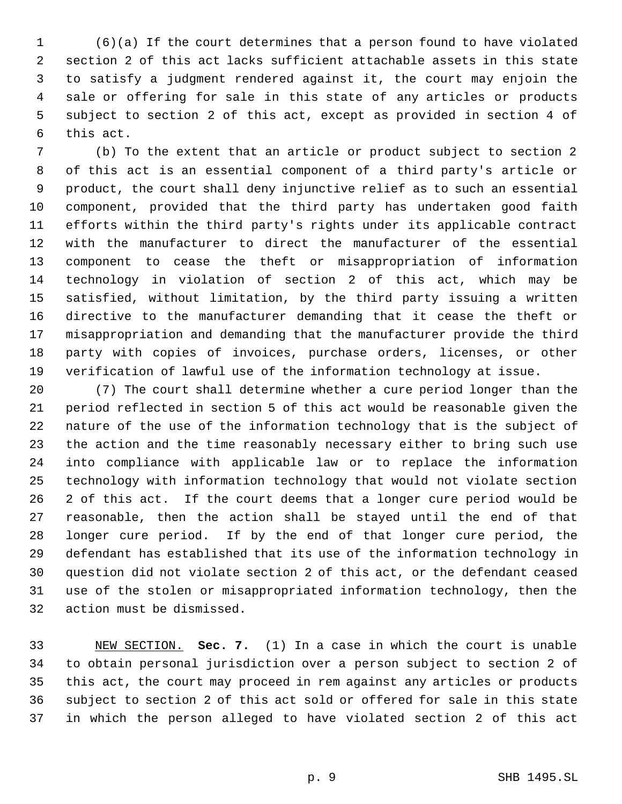(6)(a) If the court determines that a person found to have violated section 2 of this act lacks sufficient attachable assets in this state to satisfy a judgment rendered against it, the court may enjoin the sale or offering for sale in this state of any articles or products subject to section 2 of this act, except as provided in section 4 of this act.

 (b) To the extent that an article or product subject to section 2 of this act is an essential component of a third party's article or product, the court shall deny injunctive relief as to such an essential component, provided that the third party has undertaken good faith efforts within the third party's rights under its applicable contract with the manufacturer to direct the manufacturer of the essential component to cease the theft or misappropriation of information technology in violation of section 2 of this act, which may be satisfied, without limitation, by the third party issuing a written directive to the manufacturer demanding that it cease the theft or misappropriation and demanding that the manufacturer provide the third party with copies of invoices, purchase orders, licenses, or other verification of lawful use of the information technology at issue.

 (7) The court shall determine whether a cure period longer than the period reflected in section 5 of this act would be reasonable given the nature of the use of the information technology that is the subject of the action and the time reasonably necessary either to bring such use into compliance with applicable law or to replace the information technology with information technology that would not violate section 2 of this act. If the court deems that a longer cure period would be reasonable, then the action shall be stayed until the end of that longer cure period. If by the end of that longer cure period, the defendant has established that its use of the information technology in question did not violate section 2 of this act, or the defendant ceased use of the stolen or misappropriated information technology, then the action must be dismissed.

 NEW SECTION. **Sec. 7.** (1) In a case in which the court is unable to obtain personal jurisdiction over a person subject to section 2 of this act, the court may proceed in rem against any articles or products subject to section 2 of this act sold or offered for sale in this state in which the person alleged to have violated section 2 of this act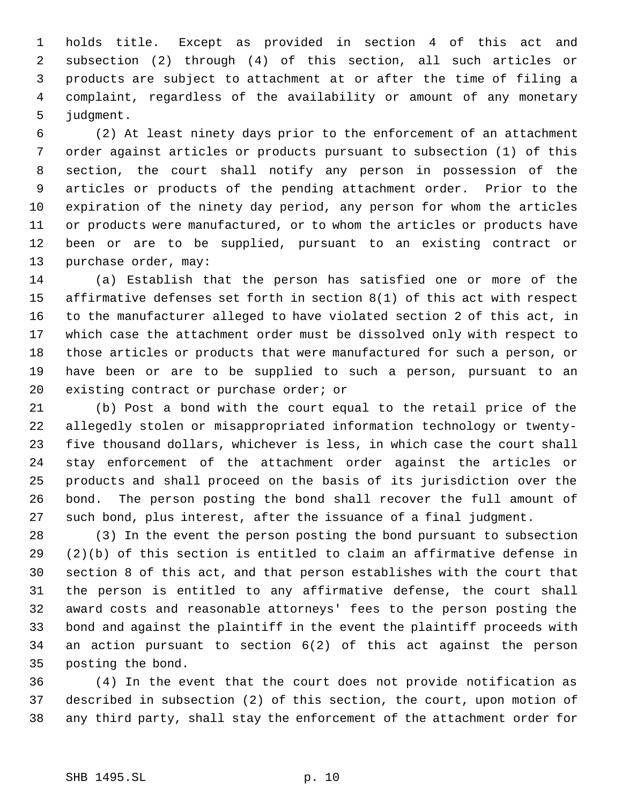holds title. Except as provided in section 4 of this act and subsection (2) through (4) of this section, all such articles or products are subject to attachment at or after the time of filing a complaint, regardless of the availability or amount of any monetary judgment.

 (2) At least ninety days prior to the enforcement of an attachment order against articles or products pursuant to subsection (1) of this section, the court shall notify any person in possession of the articles or products of the pending attachment order. Prior to the expiration of the ninety day period, any person for whom the articles or products were manufactured, or to whom the articles or products have been or are to be supplied, pursuant to an existing contract or purchase order, may:

 (a) Establish that the person has satisfied one or more of the affirmative defenses set forth in section 8(1) of this act with respect to the manufacturer alleged to have violated section 2 of this act, in which case the attachment order must be dissolved only with respect to those articles or products that were manufactured for such a person, or have been or are to be supplied to such a person, pursuant to an existing contract or purchase order; or

 (b) Post a bond with the court equal to the retail price of the allegedly stolen or misappropriated information technology or twenty- five thousand dollars, whichever is less, in which case the court shall stay enforcement of the attachment order against the articles or products and shall proceed on the basis of its jurisdiction over the bond. The person posting the bond shall recover the full amount of such bond, plus interest, after the issuance of a final judgment.

 (3) In the event the person posting the bond pursuant to subsection (2)(b) of this section is entitled to claim an affirmative defense in section 8 of this act, and that person establishes with the court that the person is entitled to any affirmative defense, the court shall award costs and reasonable attorneys' fees to the person posting the bond and against the plaintiff in the event the plaintiff proceeds with an action pursuant to section 6(2) of this act against the person posting the bond.

 (4) In the event that the court does not provide notification as described in subsection (2) of this section, the court, upon motion of any third party, shall stay the enforcement of the attachment order for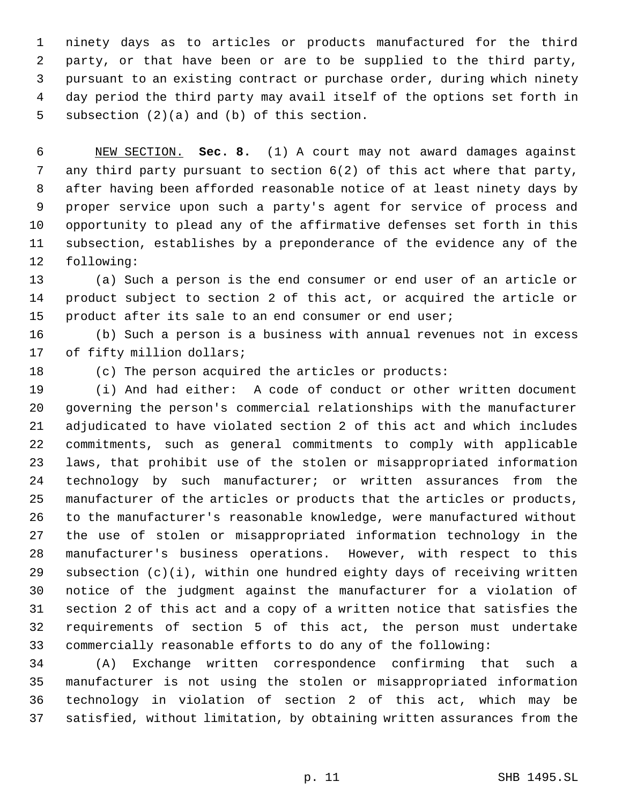ninety days as to articles or products manufactured for the third party, or that have been or are to be supplied to the third party, pursuant to an existing contract or purchase order, during which ninety day period the third party may avail itself of the options set forth in subsection (2)(a) and (b) of this section.

 NEW SECTION. **Sec. 8.** (1) A court may not award damages against any third party pursuant to section 6(2) of this act where that party, after having been afforded reasonable notice of at least ninety days by proper service upon such a party's agent for service of process and opportunity to plead any of the affirmative defenses set forth in this subsection, establishes by a preponderance of the evidence any of the following:

 (a) Such a person is the end consumer or end user of an article or product subject to section 2 of this act, or acquired the article or product after its sale to an end consumer or end user;

 (b) Such a person is a business with annual revenues not in excess 17 of fifty million dollars;

(c) The person acquired the articles or products:

 (i) And had either: A code of conduct or other written document governing the person's commercial relationships with the manufacturer adjudicated to have violated section 2 of this act and which includes commitments, such as general commitments to comply with applicable laws, that prohibit use of the stolen or misappropriated information technology by such manufacturer; or written assurances from the manufacturer of the articles or products that the articles or products, to the manufacturer's reasonable knowledge, were manufactured without the use of stolen or misappropriated information technology in the manufacturer's business operations. However, with respect to this subsection (c)(i), within one hundred eighty days of receiving written notice of the judgment against the manufacturer for a violation of section 2 of this act and a copy of a written notice that satisfies the requirements of section 5 of this act, the person must undertake commercially reasonable efforts to do any of the following:

 (A) Exchange written correspondence confirming that such a manufacturer is not using the stolen or misappropriated information technology in violation of section 2 of this act, which may be satisfied, without limitation, by obtaining written assurances from the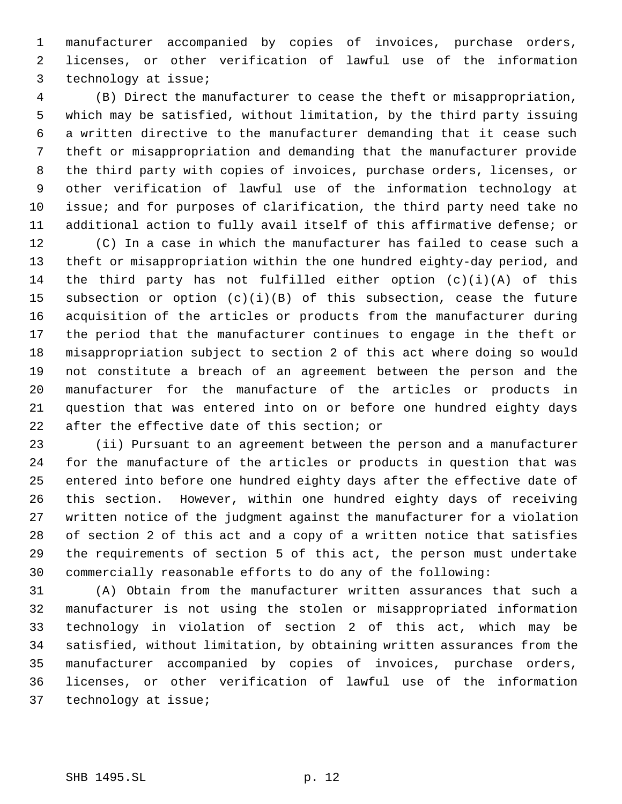manufacturer accompanied by copies of invoices, purchase orders, licenses, or other verification of lawful use of the information technology at issue;

 (B) Direct the manufacturer to cease the theft or misappropriation, which may be satisfied, without limitation, by the third party issuing a written directive to the manufacturer demanding that it cease such theft or misappropriation and demanding that the manufacturer provide the third party with copies of invoices, purchase orders, licenses, or other verification of lawful use of the information technology at issue; and for purposes of clarification, the third party need take no additional action to fully avail itself of this affirmative defense; or

 (C) In a case in which the manufacturer has failed to cease such a theft or misappropriation within the one hundred eighty-day period, and the third party has not fulfilled either option (c)(i)(A) of this subsection or option (c)(i)(B) of this subsection, cease the future acquisition of the articles or products from the manufacturer during the period that the manufacturer continues to engage in the theft or misappropriation subject to section 2 of this act where doing so would not constitute a breach of an agreement between the person and the manufacturer for the manufacture of the articles or products in question that was entered into on or before one hundred eighty days after the effective date of this section; or

 (ii) Pursuant to an agreement between the person and a manufacturer for the manufacture of the articles or products in question that was entered into before one hundred eighty days after the effective date of this section. However, within one hundred eighty days of receiving written notice of the judgment against the manufacturer for a violation of section 2 of this act and a copy of a written notice that satisfies the requirements of section 5 of this act, the person must undertake commercially reasonable efforts to do any of the following:

 (A) Obtain from the manufacturer written assurances that such a manufacturer is not using the stolen or misappropriated information technology in violation of section 2 of this act, which may be satisfied, without limitation, by obtaining written assurances from the manufacturer accompanied by copies of invoices, purchase orders, licenses, or other verification of lawful use of the information technology at issue;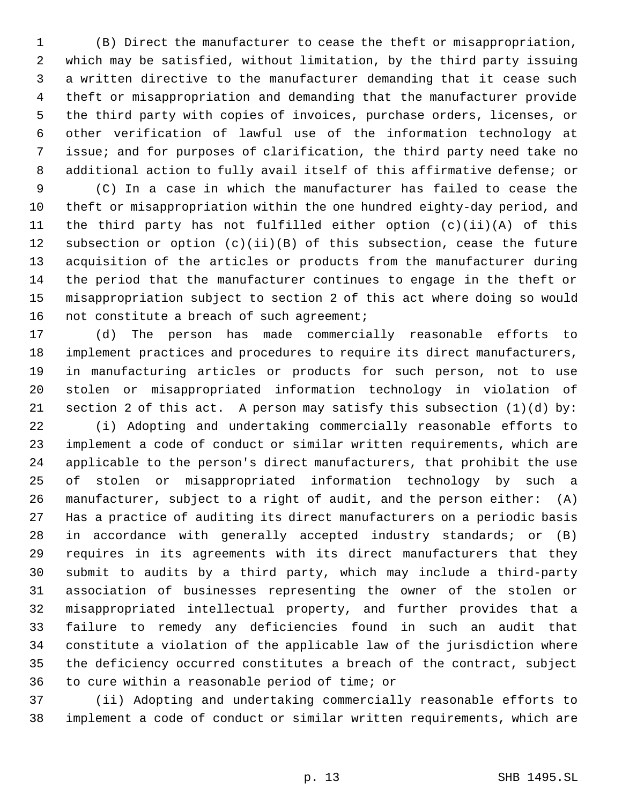(B) Direct the manufacturer to cease the theft or misappropriation, which may be satisfied, without limitation, by the third party issuing a written directive to the manufacturer demanding that it cease such theft or misappropriation and demanding that the manufacturer provide the third party with copies of invoices, purchase orders, licenses, or other verification of lawful use of the information technology at issue; and for purposes of clarification, the third party need take no additional action to fully avail itself of this affirmative defense; or

 (C) In a case in which the manufacturer has failed to cease the theft or misappropriation within the one hundred eighty-day period, and the third party has not fulfilled either option (c)(ii)(A) of this subsection or option (c)(ii)(B) of this subsection, cease the future acquisition of the articles or products from the manufacturer during the period that the manufacturer continues to engage in the theft or misappropriation subject to section 2 of this act where doing so would 16 not constitute a breach of such agreement;

 (d) The person has made commercially reasonable efforts to implement practices and procedures to require its direct manufacturers, in manufacturing articles or products for such person, not to use stolen or misappropriated information technology in violation of section 2 of this act. A person may satisfy this subsection (1)(d) by:

 (i) Adopting and undertaking commercially reasonable efforts to implement a code of conduct or similar written requirements, which are applicable to the person's direct manufacturers, that prohibit the use of stolen or misappropriated information technology by such a manufacturer, subject to a right of audit, and the person either: (A) Has a practice of auditing its direct manufacturers on a periodic basis in accordance with generally accepted industry standards; or (B) requires in its agreements with its direct manufacturers that they submit to audits by a third party, which may include a third-party association of businesses representing the owner of the stolen or misappropriated intellectual property, and further provides that a failure to remedy any deficiencies found in such an audit that constitute a violation of the applicable law of the jurisdiction where the deficiency occurred constitutes a breach of the contract, subject to cure within a reasonable period of time; or

 (ii) Adopting and undertaking commercially reasonable efforts to implement a code of conduct or similar written requirements, which are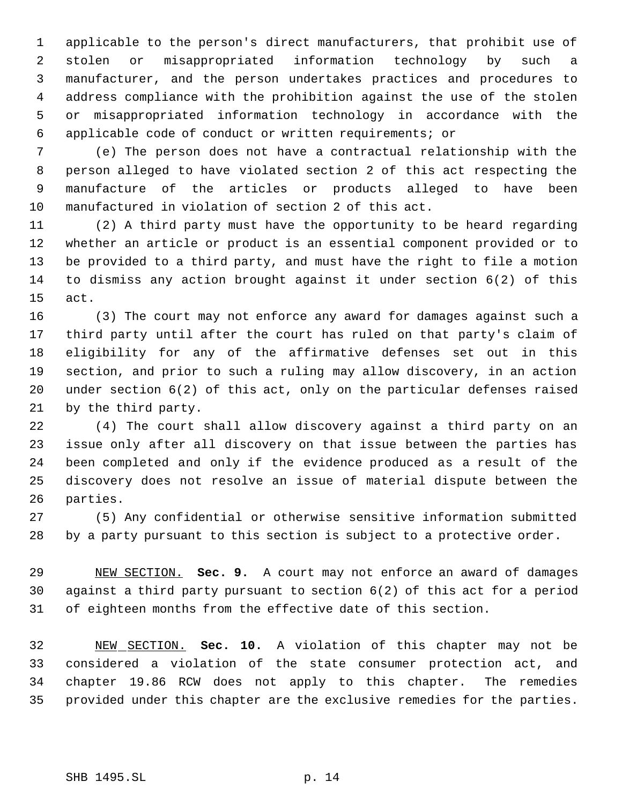applicable to the person's direct manufacturers, that prohibit use of stolen or misappropriated information technology by such a manufacturer, and the person undertakes practices and procedures to address compliance with the prohibition against the use of the stolen or misappropriated information technology in accordance with the applicable code of conduct or written requirements; or

 (e) The person does not have a contractual relationship with the person alleged to have violated section 2 of this act respecting the manufacture of the articles or products alleged to have been manufactured in violation of section 2 of this act.

 (2) A third party must have the opportunity to be heard regarding whether an article or product is an essential component provided or to be provided to a third party, and must have the right to file a motion to dismiss any action brought against it under section 6(2) of this act.

 (3) The court may not enforce any award for damages against such a third party until after the court has ruled on that party's claim of eligibility for any of the affirmative defenses set out in this section, and prior to such a ruling may allow discovery, in an action under section 6(2) of this act, only on the particular defenses raised by the third party.

 (4) The court shall allow discovery against a third party on an issue only after all discovery on that issue between the parties has been completed and only if the evidence produced as a result of the discovery does not resolve an issue of material dispute between the parties.

 (5) Any confidential or otherwise sensitive information submitted by a party pursuant to this section is subject to a protective order.

 NEW SECTION. **Sec. 9.** A court may not enforce an award of damages against a third party pursuant to section 6(2) of this act for a period of eighteen months from the effective date of this section.

 NEW SECTION. **Sec. 10.** A violation of this chapter may not be considered a violation of the state consumer protection act, and chapter 19.86 RCW does not apply to this chapter. The remedies provided under this chapter are the exclusive remedies for the parties.